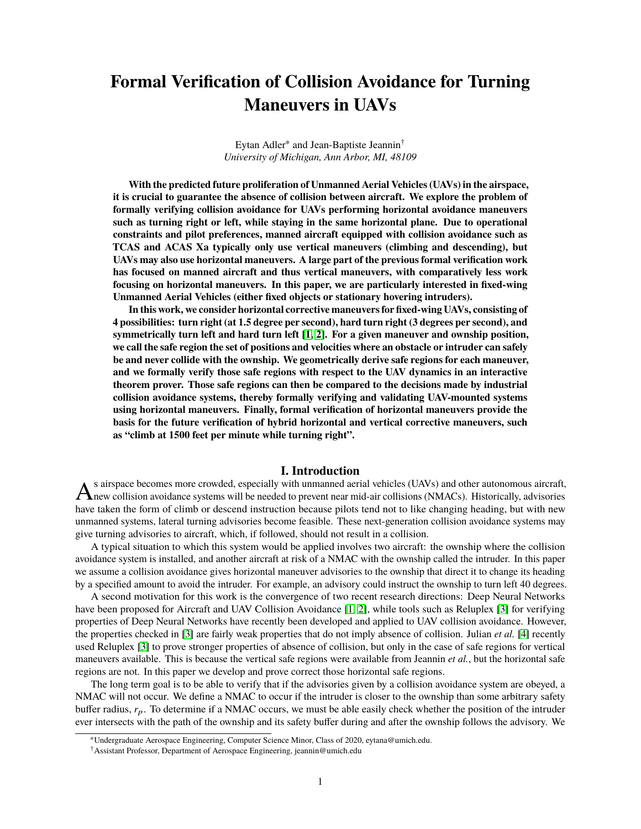# **Formal Verification of Collision Avoidance for Turning Maneuvers in UAVs**

Eytan Adler<sup>∗</sup> and Jean-Baptiste Jeannin† *University of Michigan, Ann Arbor, MI, 48109*

**With the predicted future proliferation of Unmanned Aerial Vehicles (UAVs) in the airspace, it is crucial to guarantee the absence of collision between aircraft. We explore the problem of formally verifying collision avoidance for UAVs performing horizontal avoidance maneuvers such as turning right or left, while staying in the same horizontal plane. Due to operational constraints and pilot preferences, manned aircraft equipped with collision avoidance such as TCAS and ACAS Xa typically only use vertical maneuvers (climbing and descending), but UAVs may also use horizontal maneuvers. A large part of the previous formal verification work has focused on manned aircraft and thus vertical maneuvers, with comparatively less work focusing on horizontal maneuvers. In this paper, we are particularly interested in fixed-wing Unmanned Aerial Vehicles (either fixed objects or stationary hovering intruders).**

**In this work, we consider horizontal corrective maneuvers for fixed-wing UAVs, consisting of 4 possibilities: turn right (at 1.5 degree per second), hard turn right (3 degrees per second), and symmetrically turn left and hard turn left [\[1,](#page-6-0) [2\]](#page-6-1). For a given maneuver and ownship position, we call the safe region the set of positions and velocities where an obstacle or intruder can safely be and never collide with the ownship. We geometrically derive safe regions for each maneuver, and we formally verify those safe regions with respect to the UAV dynamics in an interactive theorem prover. Those safe regions can then be compared to the decisions made by industrial collision avoidance systems, thereby formally verifying and validating UAV-mounted systems using horizontal maneuvers. Finally, formal verification of horizontal maneuvers provide the basis for the future verification of hybrid horizontal and vertical corrective maneuvers, such as "climb at 1500 feet per minute while turning right".**

## **I. Introduction**

A sairspace becomes more crowded, especially with unmanned aerial vehicles (UAVs) and other autonomous aircraft,<br>A new collision avoidance systems will be needed to prevent near mid-air collisions (NMACs). Historically, ad s airspace becomes more crowded, especially with unmanned aerial vehicles (UAVs) and other autonomous aircraft, have taken the form of climb or descend instruction because pilots tend not to like changing heading, but with new unmanned systems, lateral turning advisories become feasible. These next-generation collision avoidance systems may give turning advisories to aircraft, which, if followed, should not result in a collision.

A typical situation to which this system would be applied involves two aircraft: the ownship where the collision avoidance system is installed, and another aircraft at risk of a NMAC with the ownship called the intruder. In this paper we assume a collision avoidance gives horizontal maneuver advisories to the ownship that direct it to change its heading by a specified amount to avoid the intruder. For example, an advisory could instruct the ownship to turn left 40 degrees.

A second motivation for this work is the convergence of two recent research directions: Deep Neural Networks have been proposed for Aircraft and UAV Collision Avoidance [\[1,](#page-6-0) [2\]](#page-6-1), while tools such as Reluplex [\[3\]](#page-6-2) for verifying properties of Deep Neural Networks have recently been developed and applied to UAV collision avoidance. However, the properties checked in [\[3\]](#page-6-2) are fairly weak properties that do not imply absence of collision. Julian *et al.* [\[4\]](#page-6-3) recently used Reluplex [\[3\]](#page-6-2) to prove stronger properties of absence of collision, but only in the case of safe regions for vertical maneuvers available. This is because the vertical safe regions were available from Jeannin *et al.*, but the horizontal safe regions are not. In this paper we develop and prove correct those horizontal safe regions.

The long term goal is to be able to verify that if the advisories given by a collision avoidance system are obeyed, a NMAC will not occur. We define a NMAC to occur if the intruder is closer to the ownship than some arbitrary safety buffer radius,  $r_p$ . To determine if a NMAC occurs, we must be able easily check whether the position of the intruder ever intersects with the path of the ownship and its safety buffer during and after the ownship follows the advisory. We

<sup>∗</sup>Undergraduate Aerospace Engineering, Computer Science Minor, Class of 2020, eytana@umich.edu.

<sup>†</sup>Assistant Professor, Department of Aerospace Engineering, jeannin@umich.edu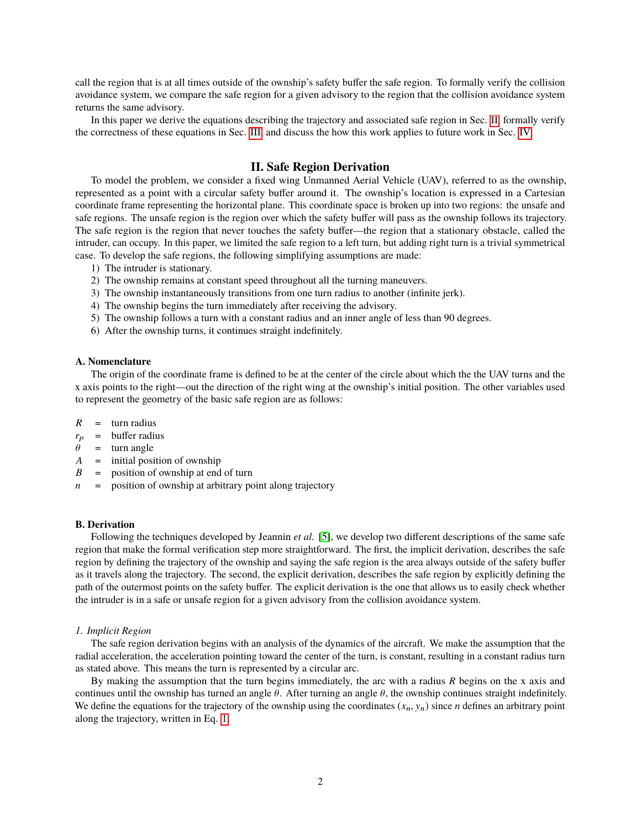call the region that is at all times outside of the ownship's safety buffer the safe region. To formally verify the collision avoidance system, we compare the safe region for a given advisory to the region that the collision avoidance system returns the same advisory.

<span id="page-1-0"></span>In this paper we derive the equations describing the trajectory and associated safe region in Sec. [II,](#page-1-0) formally verify the correctness of these equations in Sec. [III,](#page-3-0) and discuss the how this work applies to future work in Sec. [IV.](#page-4-0)

# **II. Safe Region Derivation**

To model the problem, we consider a fixed wing Unmanned Aerial Vehicle (UAV), referred to as the ownship, represented as a point with a circular safety buffer around it. The ownship's location is expressed in a Cartesian coordinate frame representing the horizontal plane. This coordinate space is broken up into two regions: the unsafe and safe regions. The unsafe region is the region over which the safety buffer will pass as the ownship follows its trajectory. The safe region is the region that never touches the safety buffer—the region that a stationary obstacle, called the intruder, can occupy. In this paper, we limited the safe region to a left turn, but adding right turn is a trivial symmetrical case. To develop the safe regions, the following simplifying assumptions are made:

- 1) The intruder is stationary.
- 2) The ownship remains at constant speed throughout all the turning maneuvers.
- 3) The ownship instantaneously transitions from one turn radius to another (infinite jerk).
- 4) The ownship begins the turn immediately after receiving the advisory.
- 5) The ownship follows a turn with a constant radius and an inner angle of less than 90 degrees.
- 6) After the ownship turns, it continues straight indefinitely.

### **A. Nomenclature**

The origin of the coordinate frame is defined to be at the center of the circle about which the the UAV turns and the x axis points to the right—out the direction of the right wing at the ownship's initial position. The other variables used to represent the geometry of the basic safe region are as follows:

- $R =$  turn radius
- $r_p$  = buffer radius
- $\theta$  = turn angle<br>  $A$  = initial posi
- $=$  initial position of ownship
- $B =$  position of ownship at end of turn
- *n* = position of ownship at arbitrary point along trajectory

#### **B. Derivation**

Following the techniques developed by Jeannin *et al.* [\[5\]](#page-6-4), we develop two different descriptions of the same safe region that make the formal verification step more straightforward. The first, the implicit derivation, describes the safe region by defining the trajectory of the ownship and saying the safe region is the area always outside of the safety buffer as it travels along the trajectory. The second, the explicit derivation, describes the safe region by explicitly defining the path of the outermost points on the safety buffer. The explicit derivation is the one that allows us to easily check whether the intruder is in a safe or unsafe region for a given advisory from the collision avoidance system.

#### *1. Implicit Region*

The safe region derivation begins with an analysis of the dynamics of the aircraft. We make the assumption that the radial acceleration, the acceleration pointing toward the center of the turn, is constant, resulting in a constant radius turn as stated above. This means the turn is represented by a circular arc.

By making the assumption that the turn begins immediately, the arc with a radius *R* begins on the x axis and continues until the ownship has turned an angle  $\theta$ . After turning an angle  $\theta$ , the ownship continues straight indefinitely. We define the equations for the trajectory of the ownship using the coordinates  $(x_n, y_n)$  since *n* defines an arbitrary point along the trajectory, written in Eq. [1.](#page-2-0)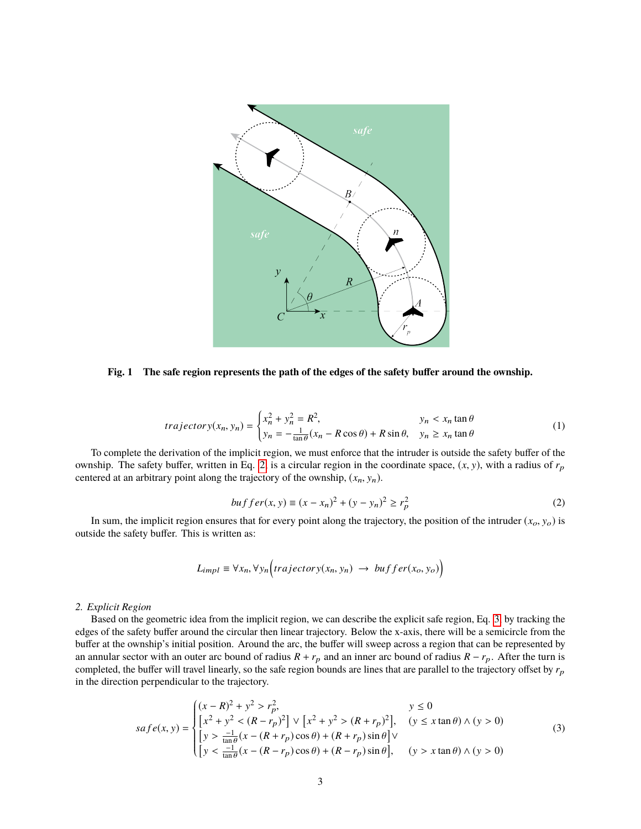

**Fig. 1 The safe region represents the path of the edges of the safety buffer around the ownship.**

<span id="page-2-0"></span>
$$
trajectory(x_n, y_n) = \begin{cases} x_n^2 + y_n^2 = R^2, & y_n < x_n \tan \theta \\ y_n = -\frac{1}{\tan \theta}(x_n - R\cos \theta) + R\sin \theta, & y_n \ge x_n \tan \theta \end{cases}
$$
(1)

To complete the derivation of the implicit region, we must enforce that the intruder is outside the safety buffer of the ownship. The safety buffer, written in Eq. [2,](#page-2-1) is a circular region in the coordinate space,  $(x, y)$ , with a radius of  $r_p$ centered at an arbitrary point along the trajectory of the ownship,  $(x_n, y_n)$ .

<span id="page-2-1"></span>
$$
buffer(x, y) \equiv (x - x_n)^2 + (y - y_n)^2 \ge r_p^2
$$
 (2)

In sum, the implicit region ensures that for every point along the trajectory, the position of the intruder  $(x_0, y_0)$  is outside the safety buffer. This is written as:

$$
L_{impl} \equiv \forall x_n, \forall y_n \Big( trajectory(x_n, y_n) \rightarrow buffer(x_o, y_o) \Big)
$$

# *2. Explicit Region*

Based on the geometric idea from the implicit region, we can describe the explicit safe region, Eq. [3,](#page-2-2) by tracking the edges of the safety buffer around the circular then linear trajectory. Below the x-axis, there will be a semicircle from the buffer at the ownship's initial position. Around the arc, the buffer will sweep across a region that can be represented by an annular sector with an outer arc bound of radius  $R + r_p$  and an inner arc bound of radius  $R - r_p$ . After the turn is completed, the buffer will travel linearly, so the safe region bounds are lines that are parallel to the trajectory offset by  $r_p$ in the direction perpendicular to the trajectory.

<span id="page-2-2"></span>
$$
safe(x, y) = \begin{cases} (x - R)^2 + y^2 > r_p^2, & y \le 0\\ \left[x^2 + y^2 < (R - r_p)^2\right] \vee \left[x^2 + y^2 > (R + r_p)^2\right], & (y \le x \tan \theta) \wedge (y > 0)\\ \left[y > \frac{-1}{\tan \theta}(x - (R + r_p) \cos \theta) + (R + r_p) \sin \theta\right] \vee\\ \left[y < \frac{-1}{\tan \theta}(x - (R - r_p) \cos \theta) + (R - r_p) \sin \theta\right], & (y > x \tan \theta) \wedge (y > 0) \end{cases} \tag{3}
$$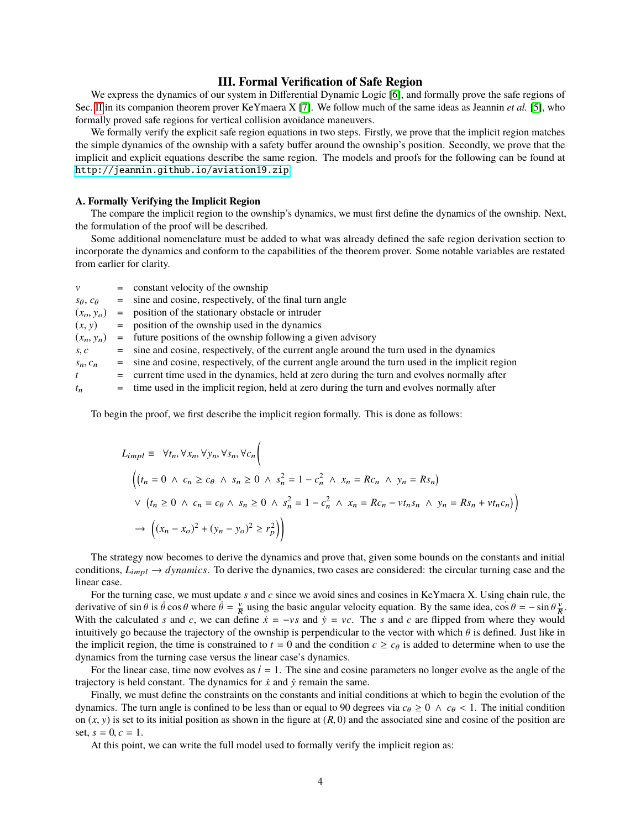## **III. Formal Verification of Safe Region**

<span id="page-3-0"></span>We express the dynamics of our system in Differential Dynamic Logic [\[6\]](#page-6-5), and formally prove the safe regions of Sec. [II](#page-1-0) in its companion theorem prover KeYmaera X [\[7\]](#page-6-6). We follow much of the same ideas as Jeannin *et al.* [\[5\]](#page-6-4), who formally proved safe regions for vertical collision avoidance maneuvers.

We formally verify the explicit safe region equations in two steps. Firstly, we prove that the implicit region matches the simple dynamics of the ownship with a safety buffer around the ownship's position. Secondly, we prove that the implicit and explicit equations describe the same region. The models and proofs for the following can be found at <http://jeannin.github.io/aviation19.zip>.

### **A. Formally Verifying the Implicit Region**

The compare the implicit region to the ownship's dynamics, we must first define the dynamics of the ownship. Next, the formulation of the proof will be described.

Some additional nomenclature must be added to what was already defined the safe region derivation section to incorporate the dynamics and conform to the capabilities of the theorem prover. Some notable variables are restated from earlier for clarity.

| $\mathcal V$             |     | $=$ constant velocity of the ownship                                                              |
|--------------------------|-----|---------------------------------------------------------------------------------------------------|
| $S_{\theta}, C_{\theta}$ |     | = sine and cosine, respectively, of the final turn angle                                          |
| $(x_o, y_o)$             |     | = position of the stationary obstacle or intruder                                                 |
| (x, y)                   |     | = position of the ownship used in the dynamics                                                    |
| $(x_n, y_n)$             |     | = future positions of the ownship following a given advisory                                      |
| S, C                     |     | = sine and cosine, respectively, of the current angle around the turn used in the dynamics        |
| $S_n, C_n$               |     | = sine and cosine, respectively, of the current angle around the turn used in the implicit region |
| $\mathfrak{t}$           | $=$ | current time used in the dynamics, held at zero during the turn and evolves normally after        |
| $t_n$                    |     | = time used in the implicit region, held at zero during the turn and evolves normally after       |
|                          |     |                                                                                                   |

To begin the proof, we first describe the implicit region formally. This is done as follows:

$$
L_{impl} \equiv \forall t_n, \forall x_n, \forall y_n, \forall s_n, \forall c_n \Bigg\{
$$
  
\n
$$
\left( (t_n = 0 \land c_n \ge c_\theta \land s_n \ge 0 \land s_n^2 = 1 - c_n^2 \land x_n = Rc_n \land y_n = Rs_n) \right\}
$$
  
\n
$$
\lor (t_n \ge 0 \land c_n = c_\theta \land s_n \ge 0 \land s_n^2 = 1 - c_n^2 \land x_n = Rc_n - vt_n s_n \land y_n = Rs_n + vt_n c_n) \right)
$$
  
\n
$$
\rightarrow \left( (x_n - x_o)^2 + (y_n - y_o)^2 \ge r_p^2 \right) \Bigg\}
$$

The strategy now becomes to derive the dynamics and prove that, given some bounds on the constants and initial conditions,  $L_{impl} \rightarrow dynamics$ . To derive the dynamics, two cases are considered: the circular turning case and the linear case.

For the turning case, we must update *s* and *c* since we avoid sines and cosines in KeYmaera X. Using chain rule, the derivative of sin  $\theta$  is  $\dot{\theta}$  cos  $\theta$  where  $\dot{\theta} = \frac{v}{R}$  using the basic angular velocity equation. By the same idea, cos  $\theta = -\sin \theta \frac{v}{R}$ .<br>With the calculated s and c, we can define  $\dot{x} = -v \dot{x}$  and  $\dot{y} = v c$ . With the calculated *s* and *c*, we can define  $\dot{x} = -v \sin{\phi} \dot{y} = v c$ . The *s* and *c* are flipped from where they would intuitively go because the trajectory of the ownship is perpendicular to the vector with which  $\theta$  is defined. Just like in the implicit region, the time is constrained to  $t = 0$  and the condition  $c \geq c_{\theta}$  is added to determine when to use the dynamics from the turning case versus the linear case's dynamics.

For the linear case, time now evolves as  $\dot{t} = 1$ . The sine and cosine parameters no longer evolve as the angle of the trajectory is held constant. The dynamics for  $\dot{x}$  and  $\dot{y}$  remain the same.

Finally, we must define the constraints on the constants and initial conditions at which to begin the evolution of the dynamics. The turn angle is confined to be less than or equal to 90 degrees via  $c_{\theta} \ge 0 \land c_{\theta} < 1$ . The initial condition on  $(x, y)$  is set to its initial position as shown in the figure at  $(R, 0)$  and the associated sine and cosine of the position are set,  $s = 0$ ,  $c = 1$ .

At this point, we can write the full model used to formally verify the implicit region as: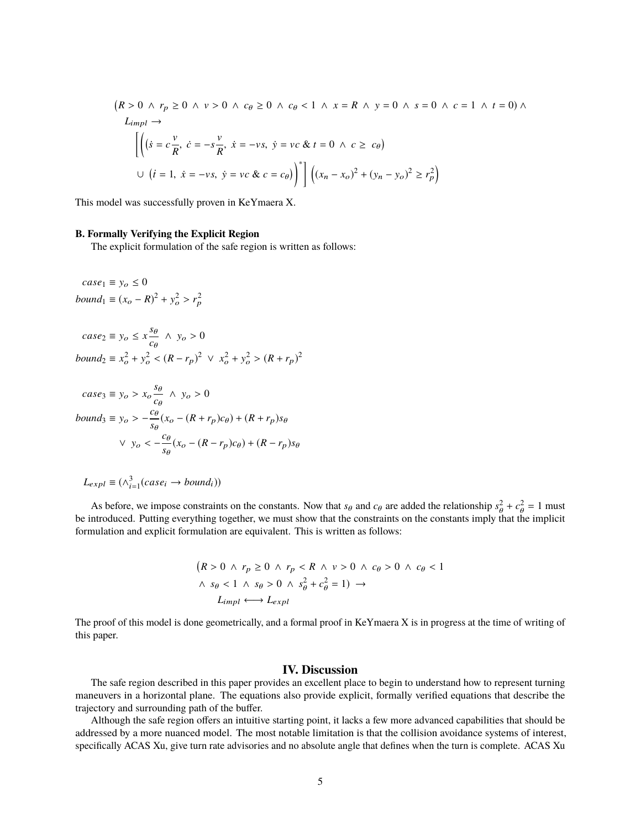$$
(R > 0 \land r_p \ge 0 \land v > 0 \land c_{\theta} \ge 0 \land c_{\theta} < 1 \land x = R \land y = 0 \land s = 0 \land c = 1 \land t = 0) \land
$$
\n
$$
L_{impl} \rightarrow \left[ \left( \left( \dot{s} = c \frac{v}{R}, \ \dot{c} = -s \frac{v}{R}, \ \dot{x} = -vs, \ \dot{y} = vc \ \& \ t = 0 \land c \ge c_{\theta} \right) \right) \right] \left( (x_n - x_o)^2 + (y_n - y_o)^2 \ge r_p^2 \right)
$$
\n
$$
\cup \left( \dot{t} = 1, \ \dot{x} = -vs, \ \dot{y} = vc \ \& \ c = c_{\theta} \right) \right]^* \left[ \left( (x_n - x_o)^2 + (y_n - y_o)^2 \ge r_p^2 \right) \right]
$$

This model was successfully proven in KeYmaera X.

#### **B. Formally Verifying the Explicit Region**

The explicit formulation of the safe region is written as follows:

 $case_1 \equiv y_o \leq 0$ *bound*<sub>1</sub>  $\equiv (x_o - R)^2 + y_o^2 > r_p^2$ 

 $case_2 \equiv y_o \le x \frac{s_{\theta}}{c_{\theta}} \land y_o > 0$ *c*θ  $bound_2 \equiv x_o^2 + y_o^2 < (R - r_p)^2 \lor x_o^2 + y_o^2 > (R + r_p)^2$ 

$$
case_3 \equiv y_o > x_o \frac{s_{\theta}}{c_{\theta}} \land y_o > 0
$$
  
bound<sub>3</sub>  $\equiv y_o > -\frac{c_{\theta}}{s_{\theta}} (x_o - (R + r_p)c_{\theta}) + (R + r_p)s_{\theta}$   
 $\lor y_o < -\frac{c_{\theta}}{s_{\theta}} (x_o - (R - r_p)c_{\theta}) + (R - r_p)s_{\theta}$ 

 $L_{expl} \equiv (\wedge_{i=1}^3(case_i \rightarrow bound_i))$ 

As before, we impose constraints on the constants. Now that  $s_{\theta}$  and  $c_{\theta}$  are added the relationship  $s_{\theta}^2 + c_{\theta}^2 = 1$  must<br>produced. Butting averathing together we must show that the constraints on the constants θ θ be introduced. Putting everything together, we must show that the constraints on the constants imply that the implicit formulation and explicit formulation are equivalent. This is written as follows:

$$
(R > 0 \land r_p \ge 0 \land r_p < R \land v > 0 \land c_\theta > 0 \land c_\theta < 1
$$
\n
$$
\land s_\theta < 1 \land s_\theta > 0 \land s_\theta^2 + c_\theta^2 = 1) \rightarrow
$$
\n
$$
L_{impl} \longleftrightarrow L_{expl}
$$

<span id="page-4-0"></span>The proof of this model is done geometrically, and a formal proof in KeYmaera X is in progress at the time of writing of this paper.

# **IV. Discussion**

The safe region described in this paper provides an excellent place to begin to understand how to represent turning maneuvers in a horizontal plane. The equations also provide explicit, formally verified equations that describe the trajectory and surrounding path of the buffer.

Although the safe region offers an intuitive starting point, it lacks a few more advanced capabilities that should be addressed by a more nuanced model. The most notable limitation is that the collision avoidance systems of interest, specifically ACAS Xu, give turn rate advisories and no absolute angle that defines when the turn is complete. ACAS Xu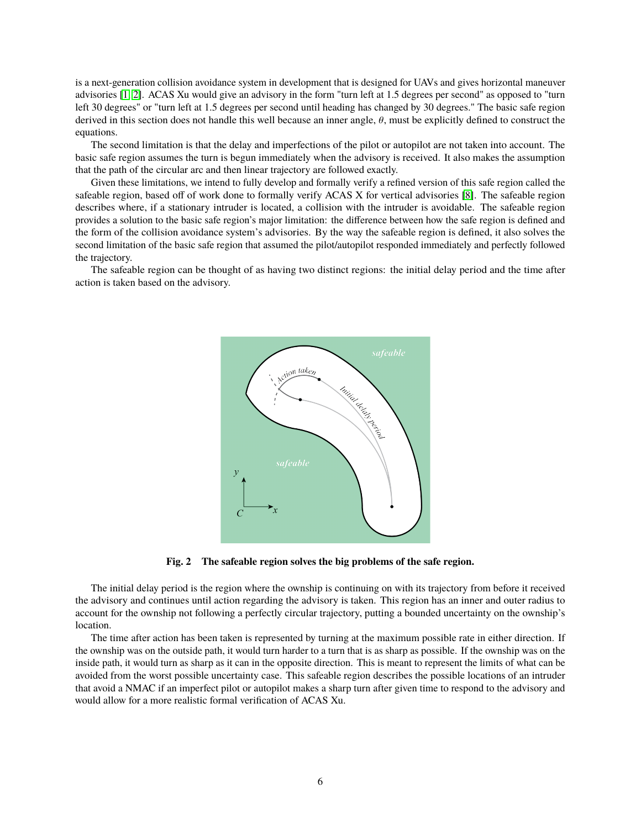is a next-generation collision avoidance system in development that is designed for UAVs and gives horizontal maneuver advisories [\[1,](#page-6-0) [2\]](#page-6-1). ACAS Xu would give an advisory in the form "turn left at 1.5 degrees per second" as opposed to "turn left 30 degrees" or "turn left at 1.5 degrees per second until heading has changed by 30 degrees." The basic safe region derived in this section does not handle this well because an inner angle,  $\theta$ , must be explicitly defined to construct the equations.

The second limitation is that the delay and imperfections of the pilot or autopilot are not taken into account. The basic safe region assumes the turn is begun immediately when the advisory is received. It also makes the assumption that the path of the circular arc and then linear trajectory are followed exactly.

Given these limitations, we intend to fully develop and formally verify a refined version of this safe region called the safeable region, based off of work done to formally verify ACAS X for vertical advisories [\[8\]](#page-6-7). The safeable region describes where, if a stationary intruder is located, a collision with the intruder is avoidable. The safeable region provides a solution to the basic safe region's major limitation: the difference between how the safe region is defined and the form of the collision avoidance system's advisories. By the way the safeable region is defined, it also solves the second limitation of the basic safe region that assumed the pilot/autopilot responded immediately and perfectly followed the trajectory.

The safeable region can be thought of as having two distinct regions: the initial delay period and the time after action is taken based on the advisory.



**Fig. 2 The safeable region solves the big problems of the safe region.**

The initial delay period is the region where the ownship is continuing on with its trajectory from before it received the advisory and continues until action regarding the advisory is taken. This region has an inner and outer radius to account for the ownship not following a perfectly circular trajectory, putting a bounded uncertainty on the ownship's location.

The time after action has been taken is represented by turning at the maximum possible rate in either direction. If the ownship was on the outside path, it would turn harder to a turn that is as sharp as possible. If the ownship was on the inside path, it would turn as sharp as it can in the opposite direction. This is meant to represent the limits of what can be avoided from the worst possible uncertainty case. This safeable region describes the possible locations of an intruder that avoid a NMAC if an imperfect pilot or autopilot makes a sharp turn after given time to respond to the advisory and would allow for a more realistic formal verification of ACAS Xu.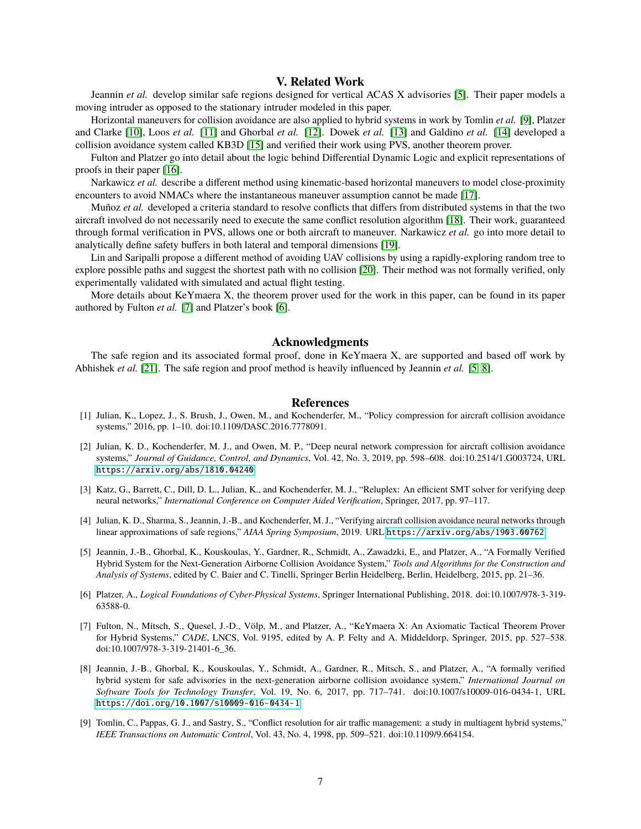# **V. Related Work**

Jeannin *et al.* develop similar safe regions designed for vertical ACAS X advisories [\[5\]](#page-6-4). Their paper models a moving intruder as opposed to the stationary intruder modeled in this paper.

Horizontal maneuvers for collision avoidance are also applied to hybrid systems in work by Tomlin *et al.* [\[9\]](#page-6-8), Platzer and Clarke [\[10\]](#page-7-0), Loos *et al.* [\[11\]](#page-7-1) and Ghorbal *et al.* [\[12\]](#page-7-2). Dowek *et al.* [\[13\]](#page-7-3) and Galdino *et al.* [\[14\]](#page-7-4) developed a collision avoidance system called KB3D [\[15\]](#page-7-5) and verified their work using PVS, another theorem prover.

Fulton and Platzer go into detail about the logic behind Differential Dynamic Logic and explicit representations of proofs in their paper [\[16\]](#page-7-6).

Narkawicz *et al.* describe a different method using kinematic-based horizontal maneuvers to model close-proximity encounters to avoid NMACs where the instantaneous maneuver assumption cannot be made [\[17\]](#page-7-7).

Muñoz *et al.* developed a criteria standard to resolve conflicts that differs from distributed systems in that the two aircraft involved do not necessarily need to execute the same conflict resolution algorithm [\[18\]](#page-7-8). Their work, guaranteed through formal verification in PVS, allows one or both aircraft to maneuver. Narkawicz *et al.* go into more detail to analytically define safety buffers in both lateral and temporal dimensions [\[19\]](#page-7-9).

Lin and Saripalli propose a different method of avoiding UAV collisions by using a rapidly-exploring random tree to explore possible paths and suggest the shortest path with no collision [\[20\]](#page-7-10). Their method was not formally verified, only experimentally validated with simulated and actual flight testing.

More details about KeYmaera X, the theorem prover used for the work in this paper, can be found in its paper authored by Fulton *et al.* [\[7\]](#page-6-6) and Platzer's book [\[6\]](#page-6-5).

## **Acknowledgments**

The safe region and its associated formal proof, done in KeYmaera X, are supported and based off work by Abhishek *et al.* [\[21\]](#page-7-11). The safe region and proof method is heavily influenced by Jeannin *et al.* [\[5,](#page-6-4) [8\]](#page-6-7).

## **References**

- <span id="page-6-0"></span>[1] Julian, K., Lopez, J., S. Brush, J., Owen, M., and Kochenderfer, M., "Policy compression for aircraft collision avoidance systems," 2016, pp. 1–10. doi:10.1109/DASC.2016.7778091.
- <span id="page-6-1"></span>[2] Julian, K. D., Kochenderfer, M. J., and Owen, M. P., "Deep neural network compression for aircraft collision avoidance systems," *Journal of Guidance, Control, and Dynamics*, Vol. 42, No. 3, 2019, pp. 598–608. doi:10.2514/1.G003724, URL <https://arxiv.org/abs/1810.04240>.
- <span id="page-6-2"></span>[3] Katz, G., Barrett, C., Dill, D. L., Julian, K., and Kochenderfer, M. J., "Reluplex: An efficient SMT solver for verifying deep neural networks," *International Conference on Computer Aided Verification*, Springer, 2017, pp. 97–117.
- <span id="page-6-3"></span>[4] Julian, K. D., Sharma, S., Jeannin, J.-B., and Kochenderfer, M. J., "Verifying aircraft collision avoidance neural networks through linear approximations of safe regions," *AIAA Spring Symposium*, 2019. URL <https://arxiv.org/abs/1903.00762>.
- <span id="page-6-4"></span>[5] Jeannin, J.-B., Ghorbal, K., Kouskoulas, Y., Gardner, R., Schmidt, A., Zawadzki, E., and Platzer, A., "A Formally Verified Hybrid System for the Next-Generation Airborne Collision Avoidance System," *Tools and Algorithms for the Construction and Analysis of Systems*, edited by C. Baier and C. Tinelli, Springer Berlin Heidelberg, Berlin, Heidelberg, 2015, pp. 21–36.
- <span id="page-6-5"></span>[6] Platzer, A., *Logical Foundations of Cyber-Physical Systems*, Springer International Publishing, 2018. doi:10.1007/978-3-319- 63588-0.
- <span id="page-6-6"></span>[7] Fulton, N., Mitsch, S., Quesel, J.-D., Völp, M., and Platzer, A., "KeYmaera X: An Axiomatic Tactical Theorem Prover for Hybrid Systems," *CADE*, LNCS, Vol. 9195, edited by A. P. Felty and A. Middeldorp, Springer, 2015, pp. 527–538. doi:10.1007/978-3-319-21401-6\_36.
- <span id="page-6-7"></span>[8] Jeannin, J.-B., Ghorbal, K., Kouskoulas, Y., Schmidt, A., Gardner, R., Mitsch, S., and Platzer, A., "A formally verified hybrid system for safe advisories in the next-generation airborne collision avoidance system," *International Journal on Software Tools for Technology Transfer*, Vol. 19, No. 6, 2017, pp. 717–741. doi:10.1007/s10009-016-0434-1, URL <https://doi.org/10.1007/s10009-016-0434-1>.
- <span id="page-6-8"></span>[9] Tomlin, C., Pappas, G. J., and Sastry, S., "Conflict resolution for air traffic management: a study in multiagent hybrid systems," *IEEE Transactions on Automatic Control*, Vol. 43, No. 4, 1998, pp. 509–521. doi:10.1109/9.664154.